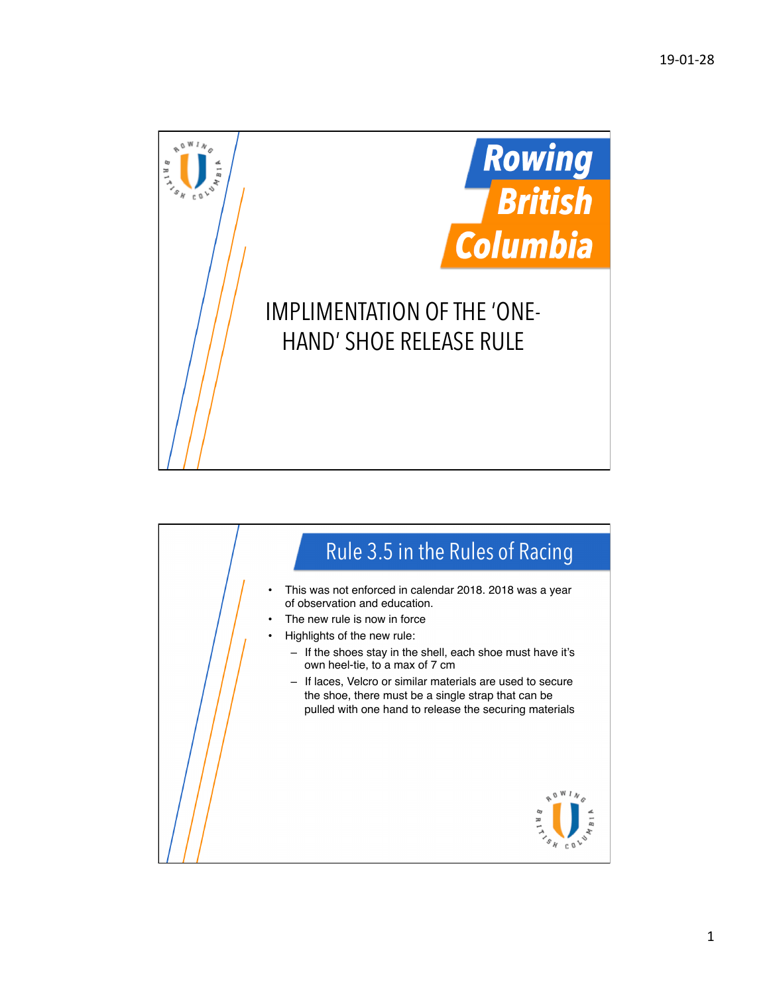

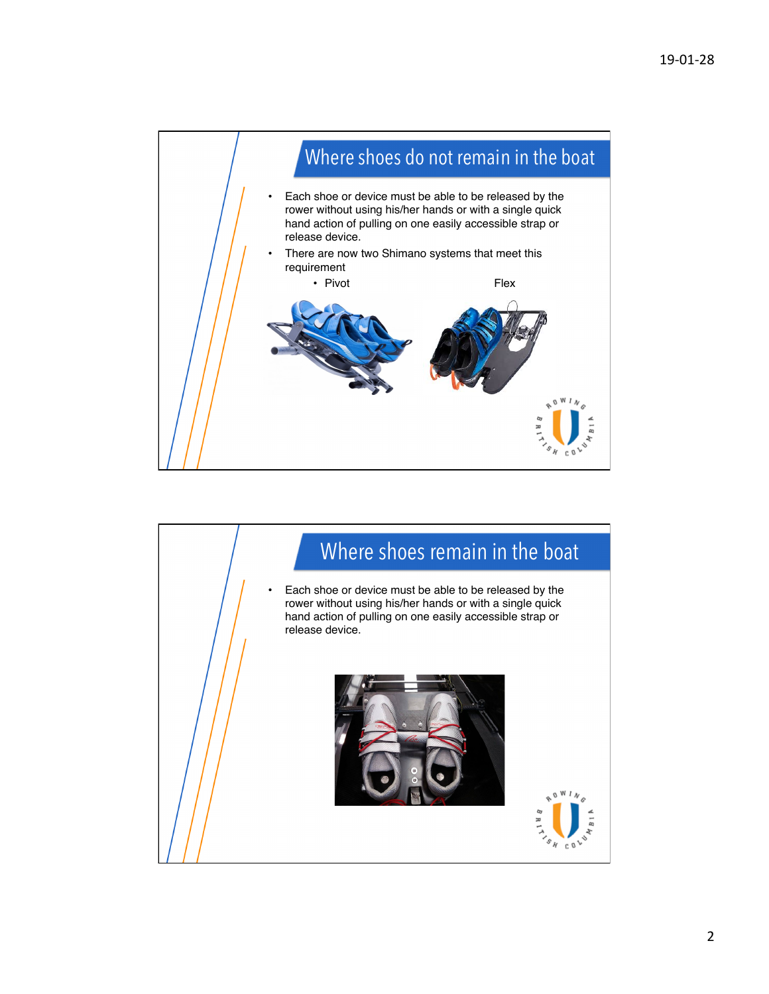